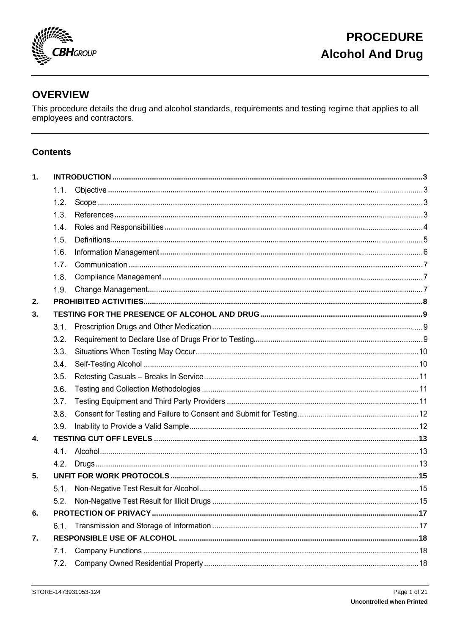

### **OVERVIEW**

This procedure details the drug and alcohol standards, requirements and testing regime that applies to all employees and contractors.

### **Contents**

| 1. |      |  |  |
|----|------|--|--|
|    | 1.1. |  |  |
|    | 1.2. |  |  |
|    | 1.3. |  |  |
|    | 1.4. |  |  |
|    | 1.5. |  |  |
|    | 1.6. |  |  |
|    | 1.7. |  |  |
|    | 1.8. |  |  |
|    | 1.9. |  |  |
| 2. |      |  |  |
| 3. |      |  |  |
|    | 3.1. |  |  |
|    | 3.2. |  |  |
|    | 3.3. |  |  |
|    | 3.4. |  |  |
|    | 3.5. |  |  |
|    | 3.6. |  |  |
|    | 3.7. |  |  |
|    | 3.8. |  |  |
|    | 3.9. |  |  |
| 4. |      |  |  |
|    | 4.1. |  |  |
|    | 4.2. |  |  |
| 5. |      |  |  |
|    | 5.1. |  |  |
|    | 5.2. |  |  |
| 6. |      |  |  |
|    | 6.1. |  |  |
| 7. |      |  |  |
|    | 7.1. |  |  |
|    | 7.2. |  |  |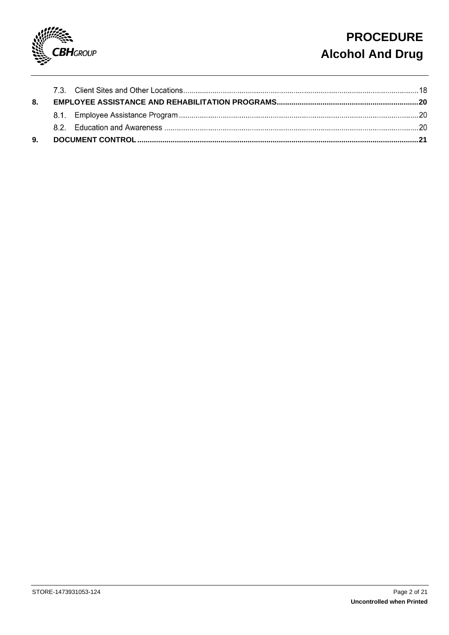

# **PROCEDURE Alcohol And Drug**

<span id="page-1-0"></span>

| 8. |  |  |
|----|--|--|
|    |  |  |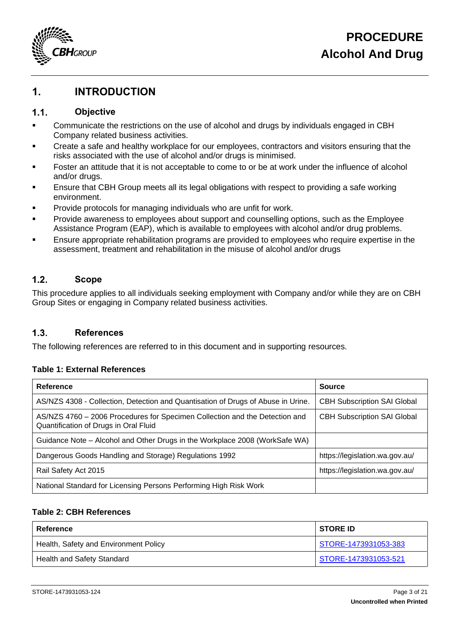

### **1. INTRODUCTION**

#### $1.1.$ **Objective**

- Communicate the restrictions on the use of alcohol and drugs by individuals engaged in CBH Company related business activities.
- Create a safe and healthy workplace for our employees, contractors and visitors ensuring that the risks associated with the use of alcohol and/or drugs is minimised.
- Foster an attitude that it is not acceptable to come to or be at work under the influence of alcohol and/or drugs.
- **E**nsure that CBH Group meets all its legal obligations with respect to providing a safe working environment.
- Provide protocols for managing individuals who are unfit for work.
- **•** Provide awareness to employees about support and counselling options, such as the Employee Assistance Program (EAP), which is available to employees with alcohol and/or drug problems.
- Ensure appropriate rehabilitation programs are provided to employees who require expertise in the assessment, treatment and rehabilitation in the misuse of alcohol and/or drugs

#### $1.2.$ **Scope**

This procedure applies to all individuals seeking employment with Company and/or while they are on CBH Group Sites or engaging in Company related business activities.

#### $1.3.$ **References**

The following references are referred to in this document and in supporting resources.

### **Table 1: External References**

| Reference                                                                                                            | <b>Source</b>                      |
|----------------------------------------------------------------------------------------------------------------------|------------------------------------|
| AS/NZS 4308 - Collection, Detection and Quantisation of Drugs of Abuse in Urine.                                     | <b>CBH Subscription SAI Global</b> |
| AS/NZS 4760 – 2006 Procedures for Specimen Collection and the Detection and<br>Quantification of Drugs in Oral Fluid | <b>CBH Subscription SAI Global</b> |
| Guidance Note – Alcohol and Other Drugs in the Workplace 2008 (WorkSafe WA)                                          |                                    |
| Dangerous Goods Handling and Storage) Regulations 1992                                                               | https://legislation.wa.gov.au/     |
| Rail Safety Act 2015                                                                                                 | https://legislation.wa.gov.au/     |
| National Standard for Licensing Persons Performing High Risk Work                                                    |                                    |

### **Table 2: CBH References**

| Reference                             | <b>STORE ID</b>      |
|---------------------------------------|----------------------|
| Health, Safety and Environment Policy | STORE-1473931053-383 |
| Health and Safety Standard            | STORE-1473931053-521 |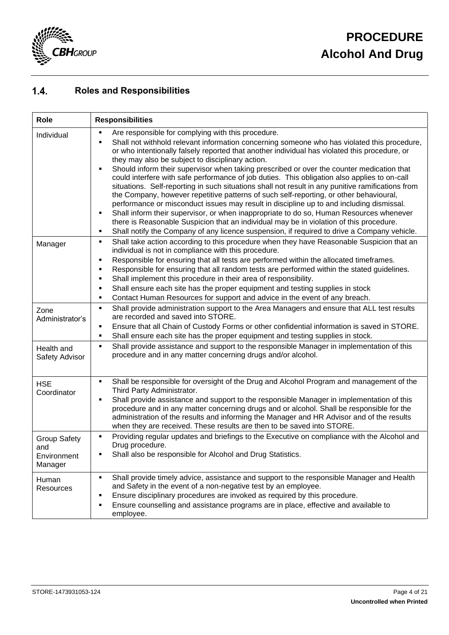

#### **Roles and Responsibilities**  $1.4.$

| Role                                                 | <b>Responsibilities</b>                                                                                                                                                                                                                                                                                                                                                                                                                                                                                                                                                                                                                                                                                                                                                                                                                                                                                                                                                                                                                                                                  |
|------------------------------------------------------|------------------------------------------------------------------------------------------------------------------------------------------------------------------------------------------------------------------------------------------------------------------------------------------------------------------------------------------------------------------------------------------------------------------------------------------------------------------------------------------------------------------------------------------------------------------------------------------------------------------------------------------------------------------------------------------------------------------------------------------------------------------------------------------------------------------------------------------------------------------------------------------------------------------------------------------------------------------------------------------------------------------------------------------------------------------------------------------|
| Individual                                           | Are responsible for complying with this procedure.<br>Shall not withhold relevant information concerning someone who has violated this procedure,<br>or who intentionally falsely reported that another individual has violated this procedure, or<br>they may also be subject to disciplinary action.<br>Should inform their supervisor when taking prescribed or over the counter medication that<br>could interfere with safe performance of job duties. This obligation also applies to on-call<br>situations. Self-reporting in such situations shall not result in any punitive ramifications from<br>the Company, however repetitive patterns of such self-reporting, or other behavioural,<br>performance or misconduct issues may result in discipline up to and including dismissal.<br>Shall inform their supervisor, or when inappropriate to do so, Human Resources whenever<br>there is Reasonable Suspicion that an individual may be in violation of this procedure.<br>Shall notify the Company of any licence suspension, if required to drive a Company vehicle.<br>٠ |
| Manager                                              | Shall take action according to this procedure when they have Reasonable Suspicion that an<br>٠<br>individual is not in compliance with this procedure.<br>Responsible for ensuring that all tests are performed within the allocated timeframes.<br>Responsible for ensuring that all random tests are performed within the stated guidelines.<br>Shall implement this procedure in their area of responsibility.<br>Shall ensure each site has the proper equipment and testing supplies in stock<br>٠<br>Contact Human Resources for support and advice in the event of any breach.<br>٠                                                                                                                                                                                                                                                                                                                                                                                                                                                                                               |
| Zone<br>Administrator's                              | Shall provide administration support to the Area Managers and ensure that ALL test results<br>٠<br>are recorded and saved into STORE.<br>Ensure that all Chain of Custody Forms or other confidential information is saved in STORE.<br>Shall ensure each site has the proper equipment and testing supplies in stock.<br>п                                                                                                                                                                                                                                                                                                                                                                                                                                                                                                                                                                                                                                                                                                                                                              |
| Health and<br>Safety Advisor                         | Shall provide assistance and support to the responsible Manager in implementation of this<br>٠<br>procedure and in any matter concerning drugs and/or alcohol.                                                                                                                                                                                                                                                                                                                                                                                                                                                                                                                                                                                                                                                                                                                                                                                                                                                                                                                           |
| <b>HSE</b><br>Coordinator                            | Shall be responsible for oversight of the Drug and Alcohol Program and management of the<br>Third Party Administrator.<br>Shall provide assistance and support to the responsible Manager in implementation of this<br>procedure and in any matter concerning drugs and or alcohol. Shall be responsible for the<br>administration of the results and informing the Manager and HR Advisor and of the results<br>when they are received. These results are then to be saved into STORE.                                                                                                                                                                                                                                                                                                                                                                                                                                                                                                                                                                                                  |
| <b>Group Safety</b><br>and<br>Environment<br>Manager | Providing regular updates and briefings to the Executive on compliance with the Alcohol and<br>Drug procedure.<br>Shall also be responsible for Alcohol and Drug Statistics.                                                                                                                                                                                                                                                                                                                                                                                                                                                                                                                                                                                                                                                                                                                                                                                                                                                                                                             |
| Human<br>Resources                                   | Shall provide timely advice, assistance and support to the responsible Manager and Health<br>٠<br>and Safety in the event of a non-negative test by an employee.<br>Ensure disciplinary procedures are invoked as required by this procedure.<br>Ensure counselling and assistance programs are in place, effective and available to<br>■<br>employee.                                                                                                                                                                                                                                                                                                                                                                                                                                                                                                                                                                                                                                                                                                                                   |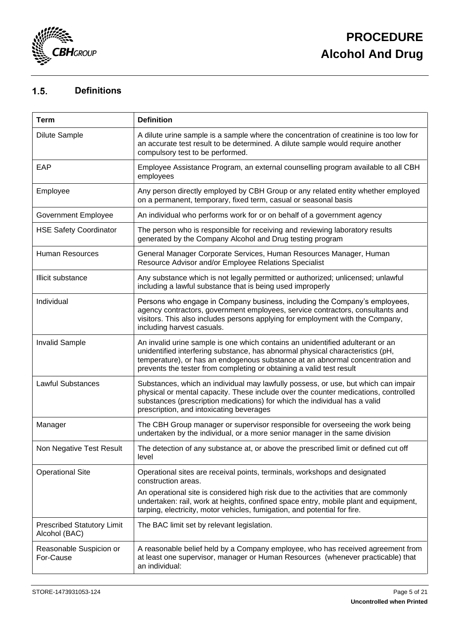

#### $1.5.$ **Definitions**

| <b>Term</b>                                        | <b>Definition</b>                                                                                                                                                                                                                                                                                                         |
|----------------------------------------------------|---------------------------------------------------------------------------------------------------------------------------------------------------------------------------------------------------------------------------------------------------------------------------------------------------------------------------|
| <b>Dilute Sample</b>                               | A dilute urine sample is a sample where the concentration of creatinine is too low for<br>an accurate test result to be determined. A dilute sample would require another<br>compulsory test to be performed.                                                                                                             |
| EAP                                                | Employee Assistance Program, an external counselling program available to all CBH<br>employees                                                                                                                                                                                                                            |
| Employee                                           | Any person directly employed by CBH Group or any related entity whether employed<br>on a permanent, temporary, fixed term, casual or seasonal basis                                                                                                                                                                       |
| <b>Government Employee</b>                         | An individual who performs work for or on behalf of a government agency                                                                                                                                                                                                                                                   |
| <b>HSE Safety Coordinator</b>                      | The person who is responsible for receiving and reviewing laboratory results<br>generated by the Company Alcohol and Drug testing program                                                                                                                                                                                 |
| <b>Human Resources</b>                             | General Manager Corporate Services, Human Resources Manager, Human<br>Resource Advisor and/or Employee Relations Specialist                                                                                                                                                                                               |
| Illicit substance                                  | Any substance which is not legally permitted or authorized; unlicensed; unlawful<br>including a lawful substance that is being used improperly                                                                                                                                                                            |
| Individual                                         | Persons who engage in Company business, including the Company's employees,<br>agency contractors, government employees, service contractors, consultants and<br>visitors. This also includes persons applying for employment with the Company,<br>including harvest casuals.                                              |
| <b>Invalid Sample</b>                              | An invalid urine sample is one which contains an unidentified adulterant or an<br>unidentified interfering substance, has abnormal physical characteristics (pH,<br>temperature), or has an endogenous substance at an abnormal concentration and<br>prevents the tester from completing or obtaining a valid test result |
| <b>Lawful Substances</b>                           | Substances, which an individual may lawfully possess, or use, but which can impair<br>physical or mental capacity. These include over the counter medications, controlled<br>substances (prescription medications) for which the individual has a valid<br>prescription, and intoxicating beverages                       |
| Manager                                            | The CBH Group manager or supervisor responsible for overseeing the work being<br>undertaken by the individual, or a more senior manager in the same division                                                                                                                                                              |
| Non Negative Test Result                           | The detection of any substance at, or above the prescribed limit or defined cut off<br>level                                                                                                                                                                                                                              |
| <b>Operational Site</b>                            | Operational sites are receival points, terminals, workshops and designated<br>construction areas.                                                                                                                                                                                                                         |
|                                                    | An operational site is considered high risk due to the activities that are commonly<br>undertaken: rail, work at heights, confined space entry, mobile plant and equipment,<br>tarping, electricity, motor vehicles, fumigation, and potential for fire.                                                                  |
| <b>Prescribed Statutory Limit</b><br>Alcohol (BAC) | The BAC limit set by relevant legislation.                                                                                                                                                                                                                                                                                |
| Reasonable Suspicion or<br>For-Cause               | A reasonable belief held by a Company employee, who has received agreement from<br>at least one supervisor, manager or Human Resources (whenever practicable) that<br>an individual:                                                                                                                                      |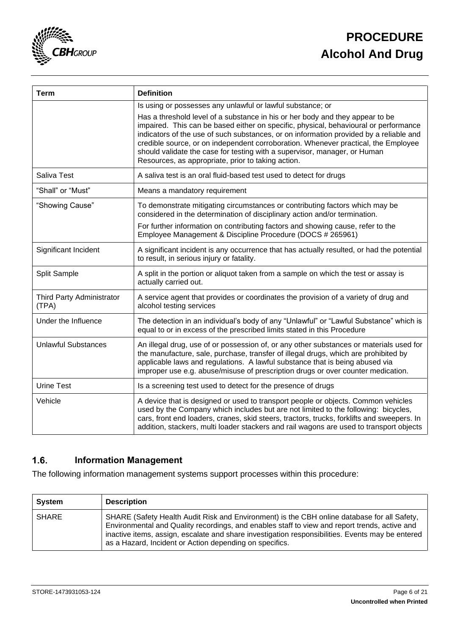

| <b>Term</b>                        | <b>Definition</b>                                                                                                                                                                                                                                                                                                                                                                                                                                                                        |
|------------------------------------|------------------------------------------------------------------------------------------------------------------------------------------------------------------------------------------------------------------------------------------------------------------------------------------------------------------------------------------------------------------------------------------------------------------------------------------------------------------------------------------|
|                                    | Is using or possesses any unlawful or lawful substance; or                                                                                                                                                                                                                                                                                                                                                                                                                               |
|                                    | Has a threshold level of a substance in his or her body and they appear to be<br>impaired. This can be based either on specific, physical, behavioural or performance<br>indicators of the use of such substances, or on information provided by a reliable and<br>credible source, or on independent corroboration. Whenever practical, the Employee<br>should validate the case for testing with a supervisor, manager, or Human<br>Resources, as appropriate, prior to taking action. |
| Saliva Test                        | A saliva test is an oral fluid-based test used to detect for drugs                                                                                                                                                                                                                                                                                                                                                                                                                       |
| "Shall" or "Must"                  | Means a mandatory requirement                                                                                                                                                                                                                                                                                                                                                                                                                                                            |
| "Showing Cause"                    | To demonstrate mitigating circumstances or contributing factors which may be<br>considered in the determination of disciplinary action and/or termination.                                                                                                                                                                                                                                                                                                                               |
|                                    | For further information on contributing factors and showing cause, refer to the<br>Employee Management & Discipline Procedure (DOCS # 265961)                                                                                                                                                                                                                                                                                                                                            |
| Significant Incident               | A significant incident is any occurrence that has actually resulted, or had the potential<br>to result, in serious injury or fatality.                                                                                                                                                                                                                                                                                                                                                   |
| Split Sample                       | A split in the portion or aliquot taken from a sample on which the test or assay is<br>actually carried out.                                                                                                                                                                                                                                                                                                                                                                             |
| Third Party Administrator<br>(TPA) | A service agent that provides or coordinates the provision of a variety of drug and<br>alcohol testing services                                                                                                                                                                                                                                                                                                                                                                          |
| Under the Influence                | The detection in an individual's body of any "Unlawful" or "Lawful Substance" which is<br>equal to or in excess of the prescribed limits stated in this Procedure                                                                                                                                                                                                                                                                                                                        |
| <b>Unlawful Substances</b>         | An illegal drug, use of or possession of, or any other substances or materials used for<br>the manufacture, sale, purchase, transfer of illegal drugs, which are prohibited by<br>applicable laws and regulations. A lawful substance that is being abused via<br>improper use e.g. abuse/misuse of prescription drugs or over counter medication.                                                                                                                                       |
| <b>Urine Test</b>                  | Is a screening test used to detect for the presence of drugs                                                                                                                                                                                                                                                                                                                                                                                                                             |
| Vehicle                            | A device that is designed or used to transport people or objects. Common vehicles<br>used by the Company which includes but are not limited to the following: bicycles,<br>cars, front end loaders, cranes, skid steers, tractors, trucks, forklifts and sweepers. In<br>addition, stackers, multi loader stackers and rail wagons are used to transport objects                                                                                                                         |

#### $1.6.$ **Information Management**

The following information management systems support processes within this procedure:

| <b>System</b> | <b>Description</b>                                                                                                                                                                                                                                                                                                                                          |
|---------------|-------------------------------------------------------------------------------------------------------------------------------------------------------------------------------------------------------------------------------------------------------------------------------------------------------------------------------------------------------------|
| <b>SHARE</b>  | SHARE (Safety Health Audit Risk and Environment) is the CBH online database for all Safety,<br>Environmental and Quality recordings, and enables staff to view and report trends, active and<br>inactive items, assign, escalate and share investigation responsibilities. Events may be entered<br>as a Hazard, Incident or Action depending on specifics. |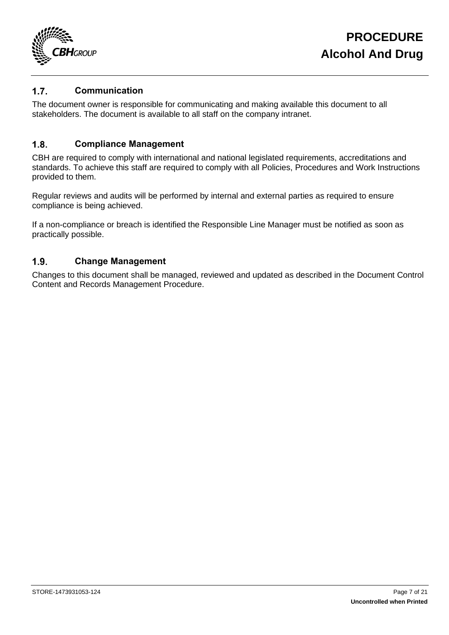

#### $1.7.$ **Communication**

The document owner is responsible for communicating and making available this document to all stakeholders. The document is available to all staff on the company intranet.

#### $1.8.$ **Compliance Management**

CBH are required to comply with international and national legislated requirements, accreditations and standards. To achieve this staff are required to comply with all Policies, Procedures and Work Instructions provided to them.

Regular reviews and audits will be performed by internal and external parties as required to ensure compliance is being achieved.

If a non-compliance or breach is identified the Responsible Line Manager must be notified as soon as practically possible.

#### $1.9.$ **Change Management**

Changes to this document shall be managed, reviewed and updated as described in the Document Control Content and Records Management Procedure.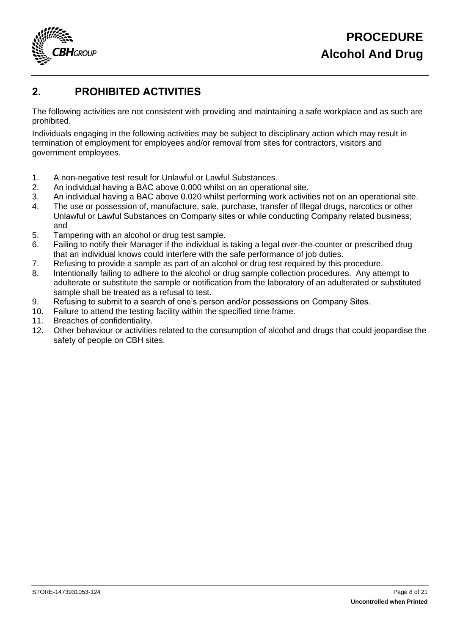

## <span id="page-7-0"></span>**2. PROHIBITED ACTIVITIES**

The following activities are not consistent with providing and maintaining a safe workplace and as such are prohibited.

Individuals engaging in the following activities may be subject to disciplinary action which may result in termination of employment for employees and/or removal from sites for contractors, visitors and government employees.

- 1. A non-negative test result for Unlawful or Lawful Substances.
- 2. An individual having a BAC above 0.000 whilst on an operational site.
- 3. An individual having a BAC above 0.020 whilst performing work activities not on an operational site.
- 4. The use or possession of, manufacture, sale, purchase, transfer of Illegal drugs, narcotics or other Unlawful or Lawful Substances on Company sites or while conducting Company related business; and
- 5. Tampering with an alcohol or drug test sample.
- 6. Failing to notify their Manager if the individual is taking a legal over-the-counter or prescribed drug that an individual knows could interfere with the safe performance of job duties.
- 7. Refusing to provide a sample as part of an alcohol or drug test required by this procedure.
- 8. Intentionally failing to adhere to the alcohol or drug sample collection procedures. Any attempt to adulterate or substitute the sample or notification from the laboratory of an adulterated or substituted sample shall be treated as a refusal to test.
- 9. Refusing to submit to a search of one's person and/or possessions on Company Sites.
- 10. Failure to attend the testing facility within the specified time frame.
- 11. Breaches of confidentiality.
- 12. Other behaviour or activities related to the consumption of alcohol and drugs that could jeopardise the safety of people on CBH sites.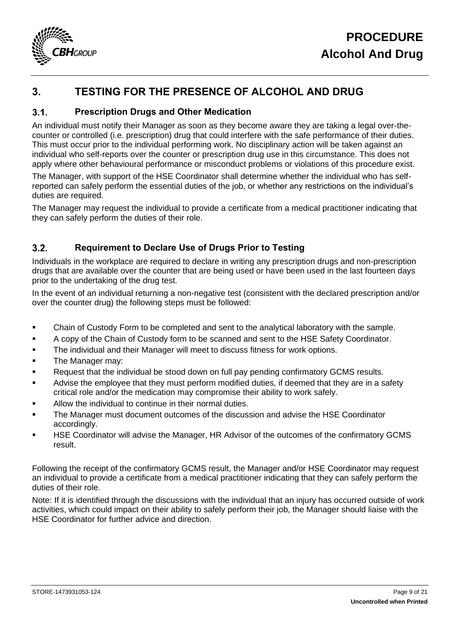

### <span id="page-8-0"></span>**3. TESTING FOR THE PRESENCE OF ALCOHOL AND DRUG**

#### $3.1.$ **Prescription Drugs and Other Medication**

An individual must notify their Manager as soon as they become aware they are taking a legal over-thecounter or controlled (i.e. prescription) drug that could interfere with the safe performance of their duties. This must occur prior to the individual performing work. No disciplinary action will be taken against an individual who self-reports over the counter or prescription drug use in this circumstance. This does not apply where other behavioural performance or misconduct problems or violations of this procedure exist.

The Manager, with support of the HSE Coordinator shall determine whether the individual who has selfreported can safely perform the essential duties of the job, or whether any restrictions on the individual's duties are required.

The Manager may request the individual to provide a certificate from a medical practitioner indicating that they can safely perform the duties of their role.

#### $3.2.$ **Requirement to Declare Use of Drugs Prior to Testing**

Individuals in the workplace are required to declare in writing any prescription drugs and non-prescription drugs that are available over the counter that are being used or have been used in the last fourteen days prior to the undertaking of the drug test.

In the event of an individual returning a non-negative test (consistent with the declared prescription and/or over the counter drug) the following steps must be followed:

- Chain of Custody Form to be completed and sent to the analytical laboratory with the sample.
- **■** A copy of the Chain of Custody form to be scanned and sent to the HSE Safety Coordinator.
- The individual and their Manager will meet to discuss fitness for work options.
- **The Manager may:**
- Request that the individual be stood down on full pay pending confirmatory GCMS results.
- Advise the employee that they must perform modified duties, if deemed that they are in a safety critical role and/or the medication may compromise their ability to work safely.
- Allow the individual to continue in their normal duties.
- The Manager must document outcomes of the discussion and advise the HSE Coordinator accordingly.
- HSE Coordinator will advise the Manager, HR Advisor of the outcomes of the confirmatory GCMS result.

Following the receipt of the confirmatory GCMS result, the Manager and/or HSE Coordinator may request an individual to provide a certificate from a medical practitioner indicating that they can safely perform the duties of their role.

Note: If it is identified through the discussions with the individual that an injury has occurred outside of work activities, which could impact on their ability to safely perform their job, the Manager should liaise with the HSE Coordinator for further advice and direction.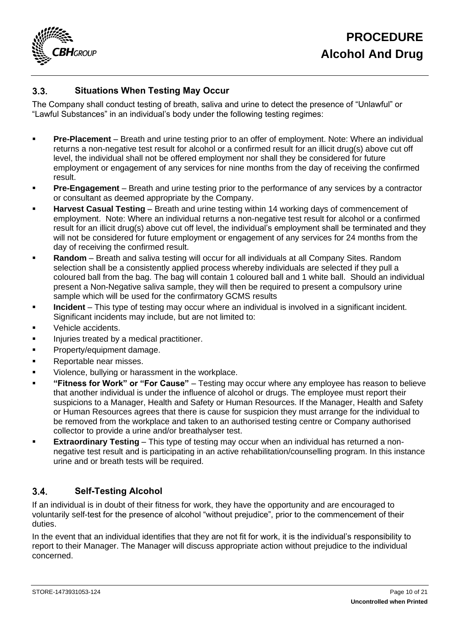

#### $3.3.$ **Situations When Testing May Occur**

The Company shall conduct testing of breath, saliva and urine to detect the presence of "Unlawful" or "Lawful Substances" in an individual's body under the following testing regimes:

- **Pre-Placement** Breath and urine testing prior to an offer of employment. Note: Where an individual returns a non-negative test result for alcohol or a confirmed result for an illicit drug(s) above cut off level, the individual shall not be offered employment nor shall they be considered for future employment or engagement of any services for nine months from the day of receiving the confirmed result.
- **Pre-Engagement** Breath and urine testing prior to the performance of any services by a contractor or consultant as deemed appropriate by the Company.
- **Harvest Casual Testing Breath and urine testing within 14 working days of commencement of** employment. Note: Where an individual returns a non-negative test result for alcohol or a confirmed result for an illicit drug(s) above cut off level, the individual's employment shall be terminated and they will not be considered for future employment or engagement of any services for 24 months from the day of receiving the confirmed result.
- **Random** Breath and saliva testing will occur for all individuals at all Company Sites. Random selection shall be a consistently applied process whereby individuals are selected if they pull a coloured ball from the bag. The bag will contain 1 coloured ball and 1 white ball. Should an individual present a Non-Negative saliva sample, they will then be required to present a compulsory urine sample which will be used for the confirmatory GCMS results
- **Incident** This type of testing may occur where an individual is involved in a significant incident. Significant incidents may include, but are not limited to:
- Vehicle accidents.
- Injuries treated by a medical practitioner.
- Property/equipment damage.
- Reportable near misses.
- Violence, bullying or harassment in the workplace.
- "Fitness for Work" or "For Cause" Testing may occur where any employee has reason to believe that another individual is under the influence of alcohol or drugs. The employee must report their suspicions to a Manager, Health and Safety or Human Resources. If the Manager, Health and Safety or Human Resources agrees that there is cause for suspicion they must arrange for the individual to be removed from the workplace and taken to an authorised testing centre or Company authorised collector to provide a urine and/or breathalyser test.
- **Extraordinary Testing** This type of testing may occur when an individual has returned a nonnegative test result and is participating in an active rehabilitation/counselling program. In this instance urine and or breath tests will be required.

#### $3.4$ **Self-Testing Alcohol**

If an individual is in doubt of their fitness for work, they have the opportunity and are encouraged to voluntarily self-test for the presence of alcohol "without prejudice", prior to the commencement of their duties.

In the event that an individual identifies that they are not fit for work, it is the individual's responsibility to report to their Manager. The Manager will discuss appropriate action without prejudice to the individual concerned.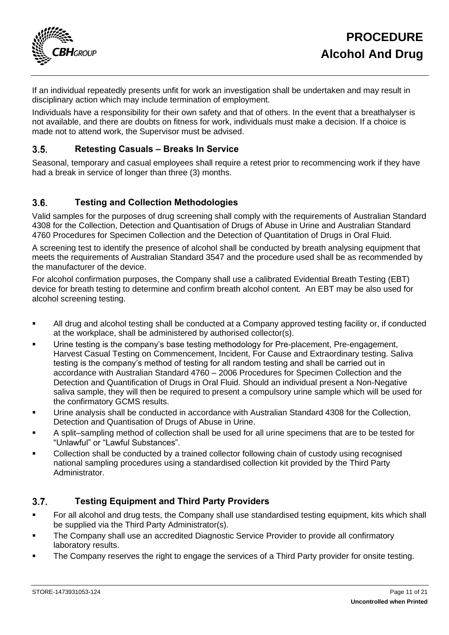

If an individual repeatedly presents unfit for work an investigation shall be undertaken and may result in disciplinary action which may include termination of employment.

Individuals have a responsibility for their own safety and that of others. In the event that a breathalyser is not available, and there are doubts on fitness for work, individuals must make a decision. If a choice is made not to attend work, the Supervisor must be advised.

#### **Retesting Casuals – Breaks In Service**   $3.5.$

Seasonal, temporary and casual employees shall require a retest prior to recommencing work if they have had a break in service of longer than three (3) months.

#### $3.6.$ **Testing and Collection Methodologies**

Valid samples for the purposes of drug screening shall comply with the requirements of Australian Standard 4308 for the Collection, Detection and Quantisation of Drugs of Abuse in Urine and Australian Standard 4760 Procedures for Specimen Collection and the Detection of Quantitation of Drugs in Oral Fluid.

A screening test to identify the presence of alcohol shall be conducted by breath analysing equipment that meets the requirements of Australian Standard 3547 and the procedure used shall be as recommended by the manufacturer of the device.

For alcohol confirmation purposes, the Company shall use a calibrated Evidential Breath Testing (EBT) device for breath testing to determine and confirm breath alcohol content. An EBT may be also used for alcohol screening testing.

- All drug and alcohol testing shall be conducted at a Company approved testing facility or, if conducted at the workplace, shall be administered by authorised collector(s).
- Urine testing is the company's base testing methodology for Pre-placement, Pre-engagement, Harvest Casual Testing on Commencement, Incident, For Cause and Extraordinary testing. Saliva testing is the company's method of testing for all random testing and shall be carried out in accordance with Australian Standard 4760 – 2006 Procedures for Specimen Collection and the Detection and Quantification of Drugs in Oral Fluid. Should an individual present a Non-Negative saliva sample, they will then be required to present a compulsory urine sample which will be used for the confirmatory GCMS results.
- Urine analysis shall be conducted in accordance with Australian Standard 4308 for the Collection, Detection and Quantisation of Drugs of Abuse in Urine.
- A split–sampling method of collection shall be used for all urine specimens that are to be tested for "Unlawful" or "Lawful Substances".
- Collection shall be conducted by a trained collector following chain of custody using recognised national sampling procedures using a standardised collection kit provided by the Third Party Administrator.

#### $3.7$ **Testing Equipment and Third Party Providers**

- For all alcohol and drug tests, the Company shall use standardised testing equipment, kits which shall be supplied via the Third Party Administrator(s).
- The Company shall use an accredited Diagnostic Service Provider to provide all confirmatory laboratory results.
- The Company reserves the right to engage the services of a Third Party provider for onsite testing.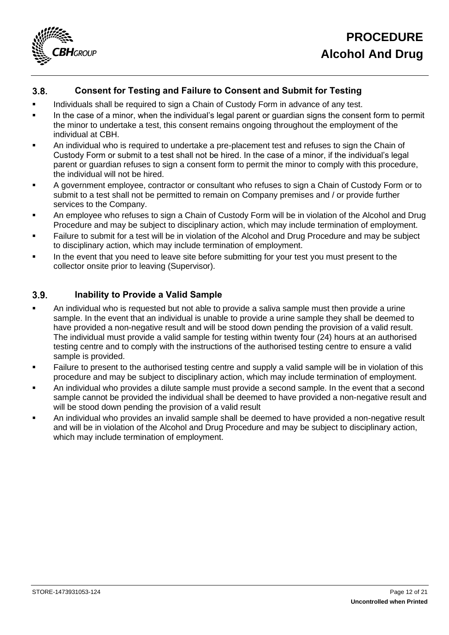

#### $3.8.$ **Consent for Testing and Failure to Consent and Submit for Testing**

- **■** Individuals shall be required to sign a Chain of Custody Form in advance of any test.
- In the case of a minor, when the individual's legal parent or guardian signs the consent form to permit the minor to undertake a test, this consent remains ongoing throughout the employment of the individual at CBH.
- An individual who is required to undertake a pre-placement test and refuses to sign the Chain of Custody Form or submit to a test shall not be hired. In the case of a minor, if the individual's legal parent or guardian refuses to sign a consent form to permit the minor to comply with this procedure, the individual will not be hired.
- A government employee, contractor or consultant who refuses to sign a Chain of Custody Form or to submit to a test shall not be permitted to remain on Company premises and / or provide further services to the Company.
- **An employee who refuses to sign a Chain of Custody Form will be in violation of the Alcohol and Drug** Procedure and may be subject to disciplinary action, which may include termination of employment.
- Failure to submit for a test will be in violation of the Alcohol and Drug Procedure and may be subject to disciplinary action, which may include termination of employment.
- In the event that you need to leave site before submitting for your test you must present to the collector onsite prior to leaving (Supervisor).

#### $3.9.$ **Inability to Provide a Valid Sample**

- **An individual who is requested but not able to provide a saliva sample must then provide a urine** sample. In the event that an individual is unable to provide a urine sample they shall be deemed to have provided a non-negative result and will be stood down pending the provision of a valid result. The individual must provide a valid sample for testing within twenty four (24) hours at an authorised testing centre and to comply with the instructions of the authorised testing centre to ensure a valid sample is provided.
- Failure to present to the authorised testing centre and supply a valid sample will be in violation of this procedure and may be subject to disciplinary action, which may include termination of employment.
- An individual who provides a dilute sample must provide a second sample. In the event that a second sample cannot be provided the individual shall be deemed to have provided a non-negative result and will be stood down pending the provision of a valid result
- An individual who provides an invalid sample shall be deemed to have provided a non-negative result and will be in violation of the Alcohol and Drug Procedure and may be subject to disciplinary action, which may include termination of employment.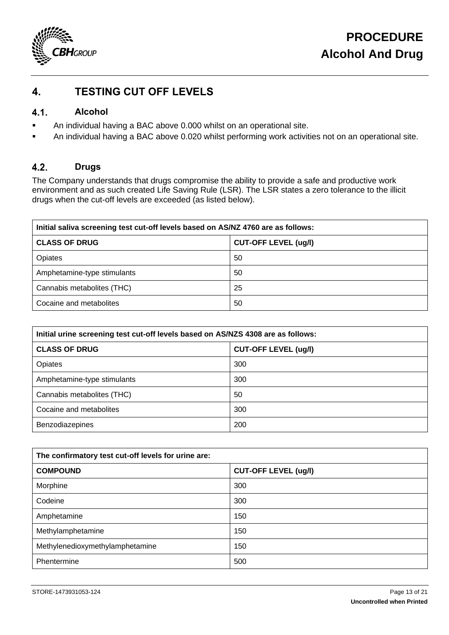

### <span id="page-12-0"></span>**4. TESTING CUT OFF LEVELS**

#### $4.1.$ **Alcohol**

- An individual having a BAC above 0.000 whilst on an operational site.
- **■** An individual having a BAC above 0.020 whilst performing work activities not on an operational site.

#### $4.2.$ **Drugs**

The Company understands that drugs compromise the ability to provide a safe and productive work environment and as such created Life Saving Rule (LSR). The LSR states a zero tolerance to the illicit drugs when the cut-off levels are exceeded (as listed below).

| Initial saliva screening test cut-off levels based on AS/NZ 4760 are as follows: |                             |  |
|----------------------------------------------------------------------------------|-----------------------------|--|
| <b>CLASS OF DRUG</b>                                                             | <b>CUT-OFF LEVEL (ug/l)</b> |  |
| Opiates                                                                          | 50                          |  |
| Amphetamine-type stimulants                                                      | 50                          |  |
| Cannabis metabolites (THC)                                                       | 25                          |  |
| Cocaine and metabolites                                                          | 50                          |  |

| Initial urine screening test cut-off levels based on AS/NZS 4308 are as follows: |                             |  |
|----------------------------------------------------------------------------------|-----------------------------|--|
| <b>CLASS OF DRUG</b>                                                             | <b>CUT-OFF LEVEL (ug/l)</b> |  |
| Opiates                                                                          | 300                         |  |
| Amphetamine-type stimulants                                                      | 300                         |  |
| Cannabis metabolites (THC)                                                       | 50                          |  |
| Cocaine and metabolites                                                          | 300                         |  |
| Benzodiazepines                                                                  | 200                         |  |

| The confirmatory test cut-off levels for urine are: |                             |  |
|-----------------------------------------------------|-----------------------------|--|
| <b>COMPOUND</b>                                     | <b>CUT-OFF LEVEL (ug/l)</b> |  |
| Morphine                                            | 300                         |  |
| Codeine                                             | 300                         |  |
| Amphetamine                                         | 150                         |  |
| Methylamphetamine                                   | 150                         |  |
| Methylenedioxymethylamphetamine                     | 150                         |  |
| Phentermine                                         | 500                         |  |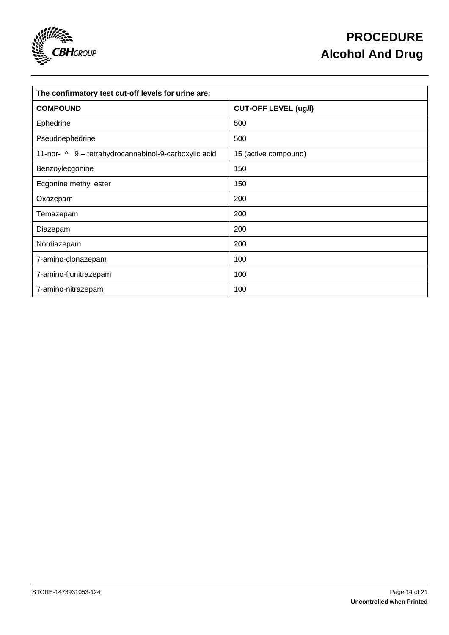

| The confirmatory test cut-off levels for urine are:  |                             |  |  |
|------------------------------------------------------|-----------------------------|--|--|
| <b>COMPOUND</b>                                      | <b>CUT-OFF LEVEL (ug/l)</b> |  |  |
| Ephedrine                                            | 500                         |  |  |
| Pseudoephedrine                                      | 500                         |  |  |
| 11-nor- ^ 9 - tetrahydrocannabinol-9-carboxylic acid | 15 (active compound)        |  |  |
| Benzoylecgonine                                      | 150                         |  |  |
| Ecgonine methyl ester                                | 150                         |  |  |
| Oxazepam                                             | 200                         |  |  |
| Temazepam                                            | 200                         |  |  |
| Diazepam                                             | 200                         |  |  |
| Nordiazepam                                          | 200                         |  |  |
| 7-amino-clonazepam                                   | 100                         |  |  |
| 7-amino-flunitrazepam                                | 100                         |  |  |
| 7-amino-nitrazepam                                   | 100                         |  |  |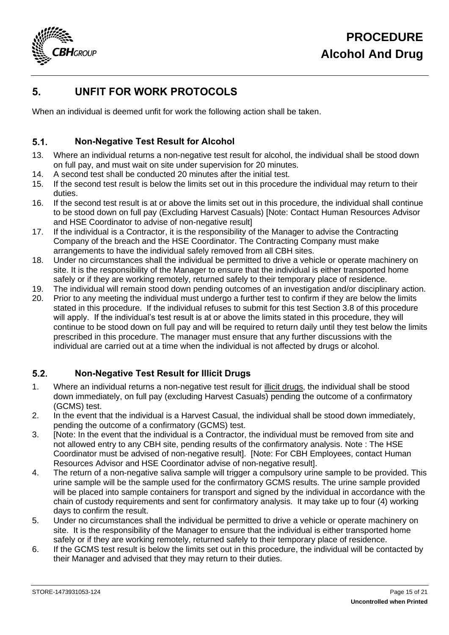

# <span id="page-14-0"></span>**5. UNFIT FOR WORK PROTOCOLS**

When an individual is deemed unfit for work the following action shall be taken.

#### $5.1$ **Non-Negative Test Result for Alcohol**

- 13. Where an individual returns a non-negative test result for alcohol, the individual shall be stood down on full pay, and must wait on site under supervision for 20 minutes.
- 14. A second test shall be conducted 20 minutes after the initial test.
- 15. If the second test result is below the limits set out in this procedure the individual may return to their duties.
- 16. If the second test result is at or above the limits set out in this procedure, the individual shall continue to be stood down on full pay (Excluding Harvest Casuals) [Note: Contact Human Resources Advisor and HSE Coordinator to advise of non-negative result]
- 17. If the individual is a Contractor, it is the responsibility of the Manager to advise the Contracting Company of the breach and the HSE Coordinator. The Contracting Company must make arrangements to have the individual safely removed from all CBH sites.
- 18. Under no circumstances shall the individual be permitted to drive a vehicle or operate machinery on site. It is the responsibility of the Manager to ensure that the individual is either transported home safely or if they are working remotely, returned safely to their temporary place of residence.
- 19. The individual will remain stood down pending outcomes of an investigation and/or disciplinary action.
- 20. Prior to any meeting the individual must undergo a further test to confirm if they are below the limits stated in this procedure. If the individual refuses to submit for this test Section 3.8 of this procedure will apply. If the individual's test result is at or above the limits stated in this procedure, they will continue to be stood down on full pay and will be required to return daily until they test below the limits prescribed in this procedure. The manager must ensure that any further discussions with the individual are carried out at a time when the individual is not affected by drugs or alcohol.

#### $5.2.$ **Non-Negative Test Result for Illicit Drugs**

- 1. Where an individual returns a non-negative test result for illicit drugs, the individual shall be stood down immediately, on full pay (excluding Harvest Casuals) pending the outcome of a confirmatory (GCMS) test.
- 2. In the event that the individual is a Harvest Casual, the individual shall be stood down immediately, pending the outcome of a confirmatory (GCMS) test.
- 3. [Note: In the event that the individual is a Contractor, the individual must be removed from site and not allowed entry to any CBH site, pending results of the confirmatory analysis. Note : The HSE Coordinator must be advised of non-negative result]. [Note: For CBH Employees, contact Human Resources Advisor and HSE Coordinator advise of non-negative result].
- 4. The return of a non-negative saliva sample will trigger a compulsory urine sample to be provided. This urine sample will be the sample used for the confirmatory GCMS results. The urine sample provided will be placed into sample containers for transport and signed by the individual in accordance with the chain of custody requirements and sent for confirmatory analysis. It may take up to four (4) working days to confirm the result.
- 5. Under no circumstances shall the individual be permitted to drive a vehicle or operate machinery on site. It is the responsibility of the Manager to ensure that the individual is either transported home safely or if they are working remotely, returned safely to their temporary place of residence.
- 6. If the GCMS test result is below the limits set out in this procedure, the individual will be contacted by their Manager and advised that they may return to their duties.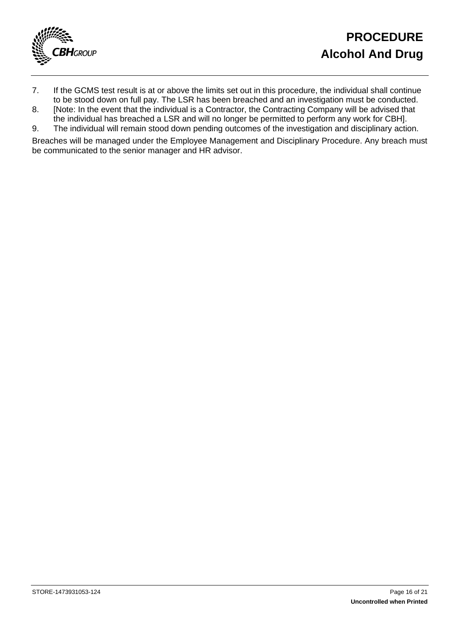

- 7. If the GCMS test result is at or above the limits set out in this procedure, the individual shall continue to be stood down on full pay. The LSR has been breached and an investigation must be conducted.
- 8. [Note: In the event that the individual is a Contractor, the Contracting Company will be advised that the individual has breached a LSR and will no longer be permitted to perform any work for CBH].
- 9. The individual will remain stood down pending outcomes of the investigation and disciplinary action.

Breaches will be managed under the Employee Management and Disciplinary Procedure. Any breach must be communicated to the senior manager and HR advisor.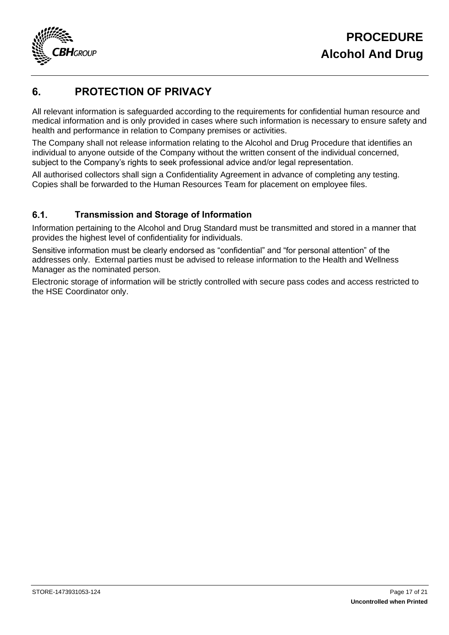

## <span id="page-16-0"></span>**6. PROTECTION OF PRIVACY**

All relevant information is safeguarded according to the requirements for confidential human resource and medical information and is only provided in cases where such information is necessary to ensure safety and health and performance in relation to Company premises or activities.

The Company shall not release information relating to the Alcohol and Drug Procedure that identifies an individual to anyone outside of the Company without the written consent of the individual concerned, subject to the Company's rights to seek professional advice and/or legal representation.

All authorised collectors shall sign a Confidentiality Agreement in advance of completing any testing. Copies shall be forwarded to the Human Resources Team for placement on employee files.

#### $6.1.$ **Transmission and Storage of Information**

Information pertaining to the Alcohol and Drug Standard must be transmitted and stored in a manner that provides the highest level of confidentiality for individuals.

Sensitive information must be clearly endorsed as "confidential" and "for personal attention" of the addresses only. External parties must be advised to release information to the Health and Wellness Manager as the nominated person.

Electronic storage of information will be strictly controlled with secure pass codes and access restricted to the HSE Coordinator only.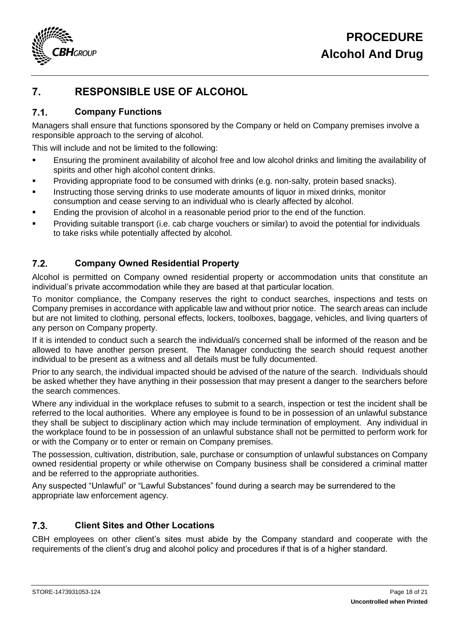

# <span id="page-17-0"></span>**7. RESPONSIBLE USE OF ALCOHOL**

#### $7.1$ **Company Functions**

Managers shall ensure that functions sponsored by the Company or held on Company premises involve a responsible approach to the serving of alcohol.

This will include and not be limited to the following:

- Ensuring the prominent availability of alcohol free and low alcohol drinks and limiting the availability of spirits and other high alcohol content drinks.
- **Providing appropriate food to be consumed with drinks (e.g. non-salty, protein based snacks).**
- **■** Instructing those serving drinks to use moderate amounts of liquor in mixed drinks, monitor consumption and cease serving to an individual who is clearly affected by alcohol.
- Ending the provision of alcohol in a reasonable period prior to the end of the function.
- Providing suitable transport (i.e. cab charge vouchers or similar) to avoid the potential for individuals to take risks while potentially affected by alcohol.

#### $7.2.$ **Company Owned Residential Property**

Alcohol is permitted on Company owned residential property or accommodation units that constitute an individual's private accommodation while they are based at that particular location.

To monitor compliance, the Company reserves the right to conduct searches, inspections and tests on Company premises in accordance with applicable law and without prior notice. The search areas can include but are not limited to clothing, personal effects, lockers, toolboxes, baggage, vehicles, and living quarters of any person on Company property.

If it is intended to conduct such a search the individual/s concerned shall be informed of the reason and be allowed to have another person present. The Manager conducting the search should request another individual to be present as a witness and all details must be fully documented.

Prior to any search, the individual impacted should be advised of the nature of the search. Individuals should be asked whether they have anything in their possession that may present a danger to the searchers before the search commences.

Where any individual in the workplace refuses to submit to a search, inspection or test the incident shall be referred to the local authorities. Where any employee is found to be in possession of an unlawful substance they shall be subject to disciplinary action which may include termination of employment. Any individual in the workplace found to be in possession of an unlawful substance shall not be permitted to perform work for or with the Company or to enter or remain on Company premises.

The possession, cultivation, distribution, sale, purchase or consumption of unlawful substances on Company owned residential property or while otherwise on Company business shall be considered a criminal matter and be referred to the appropriate authorities.

Any suspected "Unlawful" or "Lawful Substances" found during a search may be surrendered to the appropriate law enforcement agency.

#### $7.3$ **Client Sites and Other Locations**

CBH employees on other client's sites must abide by the Company standard and cooperate with the requirements of the client's drug and alcohol policy and procedures if that is of a higher standard.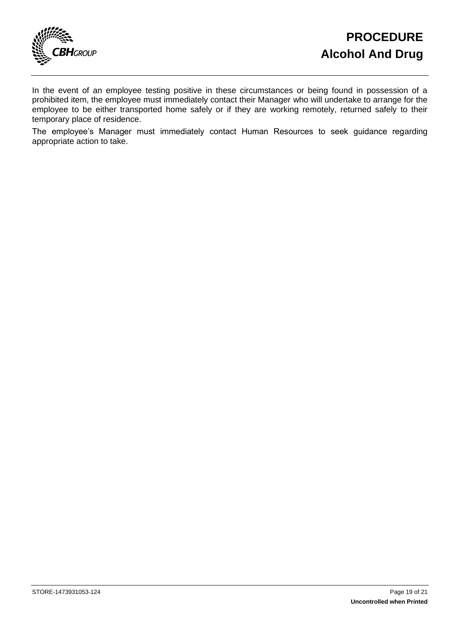

In the event of an employee testing positive in these circumstances or being found in possession of a prohibited item, the employee must immediately contact their Manager who will undertake to arrange for the employee to be either transported home safely or if they are working remotely, returned safely to their temporary place of residence.

The employee's Manager must immediately contact Human Resources to seek guidance regarding appropriate action to take.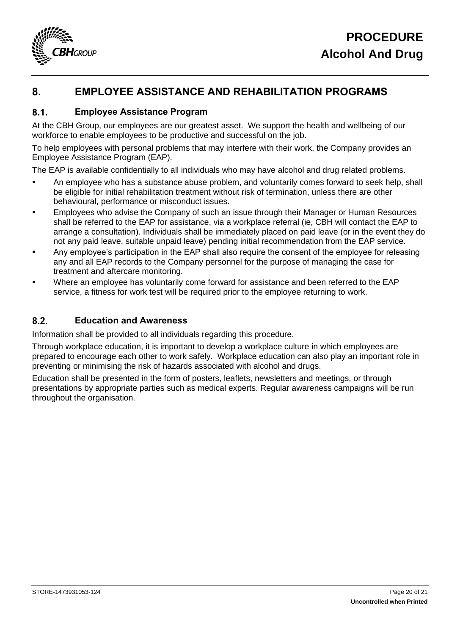

### <span id="page-19-0"></span>**8. EMPLOYEE ASSISTANCE AND REHABILITATION PROGRAMS**

#### $8.1.$ **Employee Assistance Program**

At the CBH Group, our employees are our greatest asset. We support the health and wellbeing of our workforce to enable employees to be productive and successful on the job.

To help employees with personal problems that may interfere with their work, the Company provides an Employee Assistance Program (EAP).

The EAP is available confidentially to all individuals who may have alcohol and drug related problems.

- **EXEDENT An employee who has a substance abuse problem, and voluntarily comes forward to seek help, shall** be eligible for initial rehabilitation treatment without risk of termination, unless there are other behavioural, performance or misconduct issues.
- Employees who advise the Company of such an issue through their Manager or Human Resources shall be referred to the EAP for assistance, via a workplace referral (ie, CBH will contact the EAP to arrange a consultation). Individuals shall be immediately placed on paid leave (or in the event they do not any paid leave, suitable unpaid leave) pending initial recommendation from the EAP service.
- Any employee's participation in the EAP shall also require the consent of the employee for releasing any and all EAP records to the Company personnel for the purpose of managing the case for treatment and aftercare monitoring.
- Where an employee has voluntarily come forward for assistance and been referred to the EAP service, a fitness for work test will be required prior to the employee returning to work.

#### $82$ **Education and Awareness**

Information shall be provided to all individuals regarding this procedure.

Through workplace education, it is important to develop a workplace culture in which employees are prepared to encourage each other to work safely. Workplace education can also play an important role in preventing or minimising the risk of hazards associated with alcohol and drugs.

Education shall be presented in the form of posters, leaflets, newsletters and meetings, or through presentations by appropriate parties such as medical experts. Regular awareness campaigns will be run throughout the organisation.